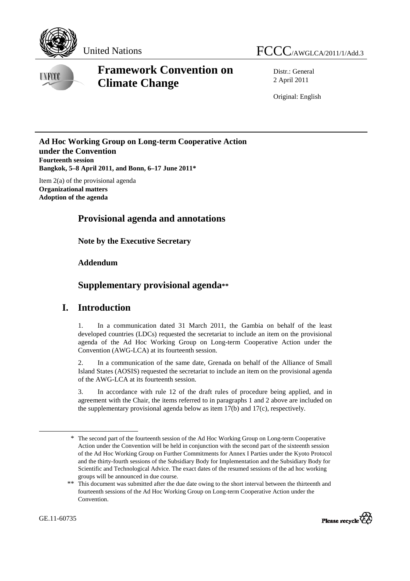



# **Framework Convention on Climate Change**

Distr.: General 2 April 2011

Original: English

#### **Ad Hoc Working Group on Long-term Cooperative Action under the Convention Fourteenth session Bangkok, 5–8 April 2011, and Bonn, 6–17 June 2011\***

Item 2(a) of the provisional agenda **Organizational matters Adoption of the agenda** 

# **Provisional agenda and annotations**

 **Note by the Executive Secretary** 

#### **Addendum**

# **Supplementary provisional agenda\*\***

### **I. Introduction**

1. In a communication dated 31 March 2011, the Gambia on behalf of the least developed countries (LDCs) requested the secretariat to include an item on the provisional agenda of the Ad Hoc Working Group on Long-term Cooperative Action under the Convention (AWG-LCA) at its fourteenth session.

2. In a communication of the same date, Grenada on behalf of the Alliance of Small Island States (AOSIS) requested the secretariat to include an item on the provisional agenda of the AWG-LCA at its fourteenth session.

3. In accordance with rule 12 of the draft rules of procedure being applied, and in agreement with the Chair, the items referred to in paragraphs 1 and 2 above are included on the supplementary provisional agenda below as item 17(b) and 17(c), respectively.

<sup>\*\*</sup> This document was submitted after the due date owing to the short interval between the thirteenth and fourteenth sessions of the Ad Hoc Working Group on Long-term Cooperative Action under the Convention.



 $\overline{a}$ 

<sup>\*</sup> The second part of the fourteenth session of the Ad Hoc Working Group on Long-term Cooperative Action under the Convention will be held in conjunction with the second part of the sixteenth session of the Ad Hoc Working Group on Further Commitments for Annex I Parties under the Kyoto Protocol and the thirty-fourth sessions of the Subsidiary Body for Implementation and the Subsidiary Body for Scientific and Technological Advice. The exact dates of the resumed sessions of the ad hoc working groups will be announced in due course.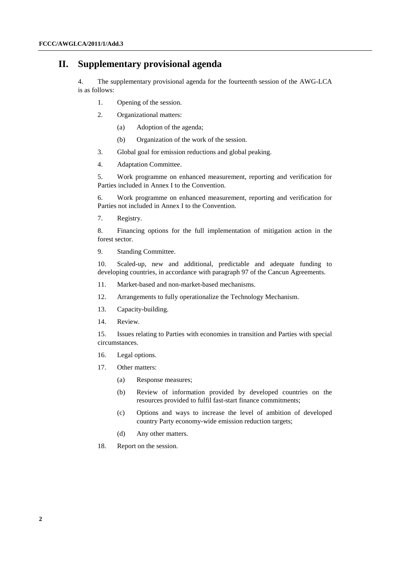### **II. Supplementary provisional agenda**

4. The supplementary provisional agenda for the fourteenth session of the AWG-LCA is as follows:

- 1. Opening of the session.
- 2. Organizational matters:
	- (a) Adoption of the agenda;
	- (b) Organization of the work of the session.
- 3. Global goal for emission reductions and global peaking.
- 4. Adaptation Committee.

5. Work programme on enhanced measurement, reporting and verification for Parties included in Annex I to the Convention.

6. Work programme on enhanced measurement, reporting and verification for Parties not included in Annex I to the Convention.

7. Registry.

8. Financing options for the full implementation of mitigation action in the forest sector.

9. Standing Committee.

10. Scaled-up, new and additional, predictable and adequate funding to developing countries, in accordance with paragraph 97 of the Cancun Agreements.

- 11. Market-based and non-market-based mechanisms.
- 12. Arrangements to fully operationalize the Technology Mechanism.
- 13. Capacity-building.
- 14. Review.

15. Issues relating to Parties with economies in transition and Parties with special circumstances.

- 16. Legal options.
- 17. Other matters:
	- (a) Response measures;
	- (b) Review of information provided by developed countries on the resources provided to fulfil fast-start finance commitments;
	- (c) Options and ways to increase the level of ambition of developed country Party economy-wide emission reduction targets;
	- (d) Any other matters.
- 18. Report on the session.